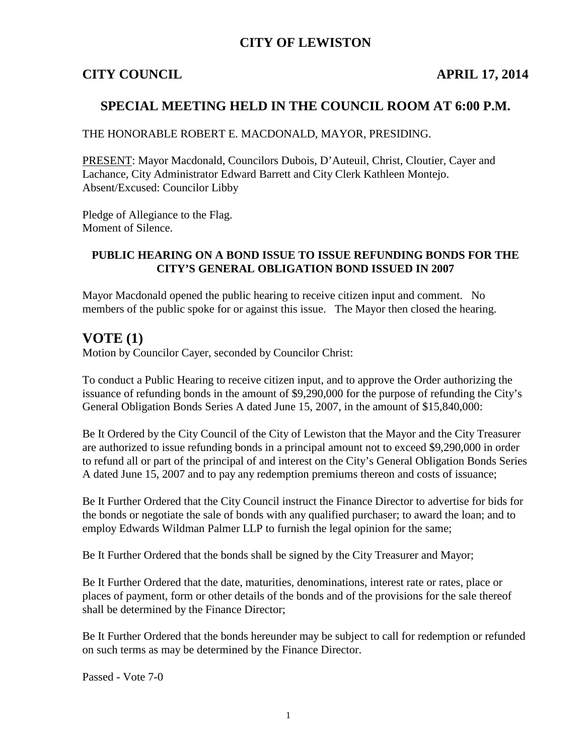# **CITY OF LEWISTON**

# **CITY COUNCIL APRIL 17, 2014**

# **SPECIAL MEETING HELD IN THE COUNCIL ROOM AT 6:00 P.M.**

#### THE HONORABLE ROBERT E. MACDONALD, MAYOR, PRESIDING.

PRESENT: Mayor Macdonald, Councilors Dubois, D'Auteuil, Christ, Cloutier, Cayer and Lachance, City Administrator Edward Barrett and City Clerk Kathleen Montejo. Absent/Excused: Councilor Libby

Pledge of Allegiance to the Flag. Moment of Silence.

### **PUBLIC HEARING ON A BOND ISSUE TO ISSUE REFUNDING BONDS FOR THE CITY'S GENERAL OBLIGATION BOND ISSUED IN 2007**

Mayor Macdonald opened the public hearing to receive citizen input and comment. No members of the public spoke for or against this issue. The Mayor then closed the hearing.

## **VOTE (1)**

Motion by Councilor Cayer, seconded by Councilor Christ:

To conduct a Public Hearing to receive citizen input, and to approve the Order authorizing the issuance of refunding bonds in the amount of \$9,290,000 for the purpose of refunding the City's General Obligation Bonds Series A dated June 15, 2007, in the amount of \$15,840,000:

Be It Ordered by the City Council of the City of Lewiston that the Mayor and the City Treasurer are authorized to issue refunding bonds in a principal amount not to exceed \$9,290,000 in order to refund all or part of the principal of and interest on the City's General Obligation Bonds Series A dated June 15, 2007 and to pay any redemption premiums thereon and costs of issuance;

Be It Further Ordered that the City Council instruct the Finance Director to advertise for bids for the bonds or negotiate the sale of bonds with any qualified purchaser; to award the loan; and to employ Edwards Wildman Palmer LLP to furnish the legal opinion for the same;

Be It Further Ordered that the bonds shall be signed by the City Treasurer and Mayor;

Be It Further Ordered that the date, maturities, denominations, interest rate or rates, place or places of payment, form or other details of the bonds and of the provisions for the sale thereof shall be determined by the Finance Director;

Be It Further Ordered that the bonds hereunder may be subject to call for redemption or refunded on such terms as may be determined by the Finance Director.

Passed - Vote 7-0